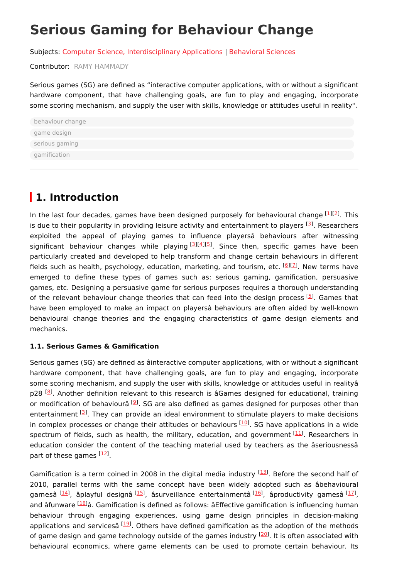# **Serious Gaming for Behaviour Change**

Subjects: Computer Science, [Interdisciplinary](https://encyclopedia.pub/entry/subject/242) Applications | [Behavioral](https://encyclopedia.pub/entry/subject/307) Sciences

Contributor: RAMY [HAMMADY](https://sciprofiles.com/profile/1433816)

Serious games (SG) are defined as "interactive computer applications, with or without a significant hardware component, that have challenging goals, are fun to play and engaging, incorporate some scoring mechanism, and supply the user with skills, knowledge or attitudes useful in reality".

| behaviour change |  |
|------------------|--|
| game design      |  |
| serious gaming   |  |
| gamification     |  |

## **1. Introduction**

In the last four decades, games have been designed purposely for behavioural change  $[1][2]$  $[1][2]$  $[1][2]$  $[1][2]$  $[1][2]$ . This is due to their popularity in providing leisure activity and entertainment to players [[3](#page-5-2)]. Researchers exploited the appeal of playing games to influence playersâ behaviours after witnessing significant behaviour changes while playing <sup>[\[3](#page-5-2)][[4](#page-6-0)][[5](#page-6-1)]</sup>. Since then, specific games have been particularly created and developed to help transform and change certain behaviours in different fields such as health, psychology, education, marketing, and tourism, etc. [\[6](#page-6-2)][\[7](#page-6-3)]. New terms have emerged to define these types of games such as: serious gaming, gamification, persuasive games, etc. Designing a persuasive game for serious purposes requires a thorough understanding of the relevant behaviour change theories that can feed into the design process [\[5](#page-6-1)]. Games that have been employed to make an impact on playersâ behaviours are often aided by well-known behavioural change theories and the engaging characteristics of game design elements and mechanics.

#### **1.1. Serious Games & Gamification**

Serious games (SG) are defined as âinteractive computer applications, with or without a significant hardware component, that have challenging goals, are fun to play and engaging, incorporate some scoring mechanism, and supply the user with skills, knowledge or attitudes useful in realityâ p28 <sup>[\[8](#page-6-4)]</sup>. Another definition relevant to this research is âGames designed for educational, training or modification of behaviourâ [[9](#page-6-5)]. SG are also defined as games designed for purposes other than entertainment <a>[\[3](#page-5-2)]</a>. They can provide an ideal environment to stimulate players to make decisions in complex processes or change their attitudes or behaviours [\[10](#page-6-6)]. SG have applications in a wide spectrum of fields, such as health, the military, education, and government [\[11](#page-6-7)]. Researchers in education consider the content of the teaching material used by teachers as the âseriousnessâ part of these games [\[12](#page-6-8)].

Gamification is a term coined in 2008 in the digital media industry [\[13](#page-6-9)]. Before the second half of 2010, parallel terms with the same concept have been widely adopted such as âbehavioural gamesâ <sup>[<u>14</u>]</sup>, âplayful designâ <sup>[[15\]](#page-6-11)</sup>, âsurveillance entertainmentâ <sup>[\[16\]](#page-6-12)</sup>, âproductivity gamesâ <sup>[\[17](#page-6-13)]</sup>, and âfunware [[18](#page-6-14)] a. Gamification is defined as follows: a๊Effective gamification is influencing human behaviour through engaging experiences, using game design principles in decision-making applications and servicesâ [\[19](#page-6-15)]. Others have defined gamification as the adoption of the methods of game design and game technology outside of the games industry <sup>[[20](#page-6-16)]</sup>. It is often associated with behavioural economics, where game elements can be used to promote certain behaviour. Its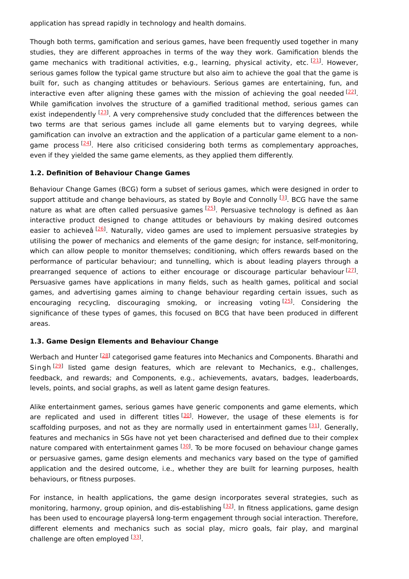application has spread rapidly in technology and health domains.

Though both terms, gamification and serious games, have been frequently used together in many studies, they are different approaches in terms of the way they work. Gamification blends the game mechanics with traditional activities, e.g., learning, physical activity, etc. [\[21](#page-6-17)]. However, serious games follow the typical game structure but also aim to achieve the goal that the game is built for, such as changing attitudes or behaviours. Serious games are entertaining, fun, and interactive even after aligning these games with the mission of achieving the goal needed  $^{[22]}$  $^{[22]}$  $^{[22]}$ . While gamification involves the structure of a gamified traditional method, serious games can exist independently <sup>[[23](#page-7-0)]</sup>. A very comprehensive study concluded that the differences between the two terms are that serious games include all game elements but to varying degrees, while gamification can involve an extraction and the application of a particular game element to a non-game process <sup>[[24\]](#page-7-1)</sup>. Here also criticised considering both terms as complementary approaches, even if they yielded the same game elements, as they applied them differently.

#### **1.2. Definition of Behaviour Change Games**

Behaviour Change Games (BCG) form a subset of serious games, which were designed in order to support attitude and change behaviours, as stated by Boyle and Connolly <sup>[[3](#page-5-2)]</sup>. BCG have the same nature as what are often called persuasive games [[25](#page-7-2)]. Persuasive technology is defined as âan interactive product designed to change attitudes or behaviours by making desired outcomes easier to achieveâ [[26\]](#page-7-3). Naturally, video games are used to implement persuasive strategies by utilising the power of mechanics and elements of the game design; for instance, self-monitoring, which can allow people to monitor themselves; conditioning, which offers rewards based on the performance of particular behaviour; and tunnelling, which is about leading players through a prearranged sequence of actions to either encourage or discourage particular behaviour  $^{[27]}$  $^{[27]}$  $^{[27]}$ . Persuasive games have applications in many fields, such as health games, political and social games, and advertising games aiming to change behaviour regarding certain issues, such as encouraging recycling, discouraging smoking, or increasing voting [\[25](#page-7-2)]. Considering the significance of these types of games, this focused on BCG that have been produced in different areas.

#### **1.3. Game Design Elements and Behaviour Change**

Werbach and Hunter <sup>[\[28\]](#page-7-5)</sup> categorised game features into Mechanics and Components. Bharathi and Singh <sup>[[29](#page-7-6)]</sup> listed game design features, which are relevant to Mechanics, e.g., challenges, feedback, and rewards; and Components, e.g., achievements, avatars, badges, leaderboards, levels, points, and social graphs, as well as latent game design features.

Alike entertainment games, serious games have generic components and game elements, which are replicated and used in different titles [\[30](#page-7-7)]. However, the usage of these elements is for scaffolding purposes, and not as they are normally used in entertainment games <a>[\[31](#page-7-8)]</a>. Generally, features and mechanics in SGs have not yet been characterised and defined due to their complex nature compared with entertainment games <a>[[30](#page-7-7)]</a>. To be more focused on behaviour change games or persuasive games, game design elements and mechanics vary based on the type of gamified application and the desired outcome, i.e., whether they are built for learning purposes, health behaviours, or fitness purposes.

For instance, in health applications, the game design incorporates several strategies, such as monitoring, harmony, group opinion, and dis-establishing <sup>[[32\]](#page-7-9)</sup>. In fitness applications, game design has been used to encourage playersâ long-term engagement through social interaction. Therefore, different elements and mechanics such as social play, micro goals, fair play, and marginal challenge are often employed [[33](#page-7-10)].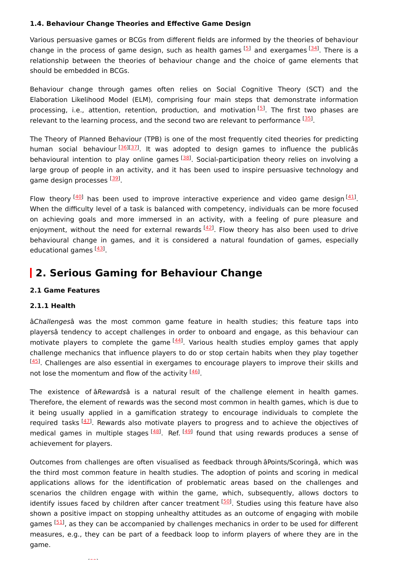#### **1.4. Behaviour Change Theories and Effective Game Design**

Various persuasive games or BCGs from different fields are informed by the theories of behaviour change in the process of game design, such as health games  $^{[5]}$  $^{[5]}$  $^{[5]}$  and exergames  $^{[34]}$  $^{[34]}$  $^{[34]}$ . There is a relationship between the theories of behaviour change and the choice of game elements that should be embedded in BCGs.

Behaviour change through games often relies on Social Cognitive Theory (SCT) and the Elaboration Likelihood Model (ELM), comprising four main steps that demonstrate information processing, i.e., attention, retention, production, and motivation<sup>[\[5](#page-6-1)]</sup>. The first two phases are relevant to the learning process, and the second two are relevant to performance [\[35](#page-7-12)].

The Theory of Planned Behaviour (TPB) is one of the most frequently cited theories for predicting human social behaviour<sup>[[36](#page-7-13)][\[37\]](#page-7-14)</sup>. It was adopted to design games to influence the publicâs behavioural intention to play online games <a>[[38](#page-7-15)]</a>. Social-participation theory relies on involving a large group of people in an activity, and it has been used to inspire persuasive technology and game design processes [[39\]](#page-7-16).

Flow theory  $[40]$  $[40]$  $[40]$  has been used to improve interactive experience and video game design  $[41]$  $[41]$ . When the difficulty level of a task is balanced with competency, individuals can be more focused on achieving goals and more immersed in an activity, with a feeling of pure pleasure and enjoyment, without the need for external rewards [\[42](#page-8-1)]. Flow theory has also been used to drive behavioural change in games, and it is considered a natural foundation of games, especially educational games <a>[\[43](#page-8-2)]</a>.

### **2. Serious Gaming for Behaviour Change**

#### **2.1 Game Features**

#### **2.1.1 Health**

âChallengesâ was the most common game feature in health studies; this feature taps into playersâ tendency to accept challenges in order to onboard and engage, as this behaviour can motivate players to complete the game <sup>[[44](#page-8-3)]</sup>. Various health studies employ games that apply challenge mechanics that influence players to do or stop certain habits when they play together  $\frac{[45]}{[45]}$  $\frac{[45]}{[45]}$  $\frac{[45]}{[45]}$ . Challenges are also essential in exergames to encourage players to improve their skills and not lose the momentum and flow of the activity <sup>[\[46](#page-8-5)]</sup>.

The existence of âRewardsâ is a natural result of the challenge element in health games. Therefore, the element of rewards was the second most common in health games, which is due to it being usually applied in a gamification strategy to encourage individuals to complete the required tasks [[47](#page-8-6)]. Rewards also motivate players to progress and to achieve the objectives of medical games in multiple stages <sup>[\[48](#page-8-7)]</sup>. Ref. <sup>[\[49\]](#page-8-8)</sup> found that using rewards produces a sense of achievement for players.

Outcomes from challenges are often visualised as feedback through âPoints/Scoringâ, which was the third most common feature in health studies. The adoption of points and scoring in medical applications allows for the identification of problematic areas based on the challenges and scenarios the children engage with within the game, which, subsequently, allows doctors to identify issues faced by children after cancer treatment [[50\]](#page-8-9). Studies using this feature have also shown a positive impact on stopping unhealthy attitudes as an outcome of engaging with mobile games [[51\]](#page-8-10), as they can be accompanied by challenges mechanics in order to be used for different measures, e.g., they can be part of a feedback loop to inform players of where they are in the game.

[52]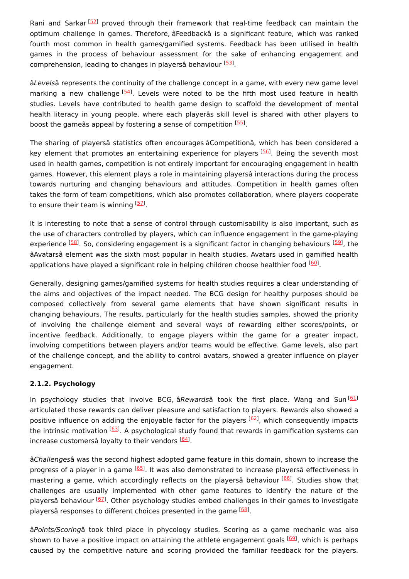Rani and Sarkar<sup> [\[52](#page-8-11)]</sup> proved through their framework that real-time feedback can maintain the optimum challenge in games. Therefore, âFeedbackâ is a significant feature, which was ranked fourth most common in health games/gamified systems. Feedback has been utilised in health games in the process of behaviour assessment for the sake of enhancing engagement and comprehension, leading to changes in playersâ behaviour [\[53\]](#page-8-12).

âLevelsâ represents the continuity of the challenge concept in a game, with every new game level marking a new challenge <sup>[\[54](#page-8-13)]</sup>. Levels were noted to be the fifth most used feature in health studies. Levels have contributed to health game design to scaffold the development of mental health literacy in young people, where each playerâs skill level is shared with other players to boost the gameâs appeal by fostering a sense of competition [\[55](#page-8-14)].

The sharing of playersâ statistics often encourages âCompetitionâ, which has been considered a key element that promotes an entertaining experience for players [[56](#page-8-15)]. Being the seventh most used in health games, competition is not entirely important for encouraging engagement in health games. However, this element plays a role in maintaining playersâ interactions during the process towards nurturing and changing behaviours and attitudes. Competition in health games often takes the form of team competitions, which also promotes collaboration, where players cooperate to ensure their team is winning [[57](#page-8-16)].

It is interesting to note that a sense of control through customisability is also important, such as the use of characters controlled by players, which can influence engagement in the game-playing experience <sup>[[58\]](#page-9-0)</sup>. So, considering engagement is a significant factor in changing behaviours <sup>[[59](#page-9-1)]</sup>, the âAvatarsâ element was the sixth most popular in health studies. Avatars used in gamified health applications have played a significant role in helping children choose healthier food [\[60](#page-9-2)].

Generally, designing games/gamified systems for health studies requires a clear understanding of the aims and objectives of the impact needed. The BCG design for healthy purposes should be composed collectively from several game elements that have shown significant results in changing behaviours. The results, particularly for the health studies samples, showed the priority of involving the challenge element and several ways of rewarding either scores/points, or incentive feedback. Additionally, to engage players within the game for a greater impact, involving competitions between players and/or teams would be effective. Game levels, also part of the challenge concept, and the ability to control avatars, showed a greater influence on player engagement.

#### **2.1.2. Psychology**

In psychology studies that involve BCG, âRewardsâ took the first place. Wang and Sun<sup>[\[61](#page-9-3)]</sup> articulated those rewards can deliver pleasure and satisfaction to players. Rewards also showed a positive influence on adding the enjoyable factor for the players [\[62\]](#page-9-4), which consequently impacts the intrinsic motivation [\[63](#page-9-5)]. A psychological study found that rewards in gamification systems can increase customersâ loyalty to their vendors [\[64](#page-9-6)].

âChallengesâ was the second highest adopted game feature in this domain, shown to increase the progress of a player in a game [[65\]](#page-9-7). It was also demonstrated to increase playersâ effectiveness in mastering a game, which accordingly reflects on the playersâ behaviour [\[66\]](#page-9-8). Studies show that challenges are usually implemented with other game features to identify the nature of the playersâ behaviour [\[67\]](#page-9-9). Other psychology studies embed challenges in their games to investigate playersâ responses to different choices presented in the game [\[68](#page-9-10)].

âPoints/Scoringâ took third place in phycology studies. Scoring as a game mechanic was also shown to have a positive impact on attaining the athlete engagement goals [\[69](#page-9-11)], which is perhaps caused by the competitive nature and scoring provided the familiar feedback for the players.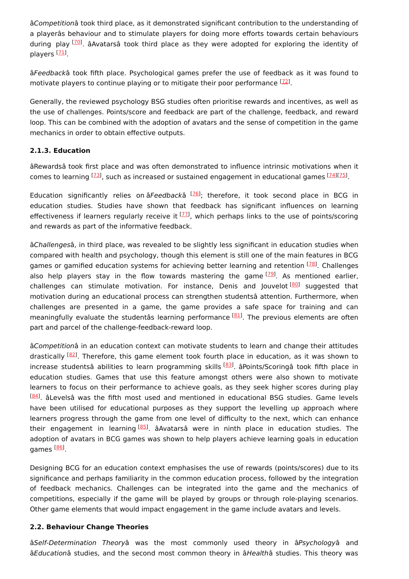âCompetitionâ took third place, as it demonstrated significant contribution to the understanding of a playerâs behaviour and to stimulate players for doing more efforts towards certain behaviours during play <sup>[\[70](#page-9-12)]</sup>. âAvatarsâ took third place as they were adopted for exploring the identity of players <sup>[[71\]](#page-9-13)</sup>.

âFeedbackâ took fifth place. Psychological games prefer the use of feedback as it was found to motivate players to continue playing or to mitigate their poor performance  $[72]$  $[72]$  $[72]$ .

Generally, the reviewed psychology BSG studies often prioritise rewards and incentives, as well as the use of challenges. Points/score and feedback are part of the challenge, feedback, and reward loop. This can be combined with the adoption of avatars and the sense of competition in the game mechanics in order to obtain effective outputs.

#### **2.1.3. Education**

âRewardsâ took first place and was often demonstrated to influence intrinsic motivations when it comes to learning <sup>[[73\]](#page-9-15)</sup>, such as increased or sustained engagement in educational games <sup>[\[74\]](#page-9-16)[[75](#page-10-0)]</sup>.

Education significantly relies on âFeedbackâ [[76\]](#page-10-1); therefore, it took second place in BCG in education studies. Studies have shown that feedback has significant influences on learning effectiveness if learners regularly receive it [\[77](#page-10-2)], which perhaps links to the use of points/scoring and rewards as part of the informative feedback.

âChallengesâ, in third place, was revealed to be slightly less significant in education studies when compared with health and psychology, though this element is still one of the main features in BCG games or gamified education systems for achieving better learning and retention <sup>[\[78](#page-10-3)]</sup>. Challenges also help players stay in the flow towards mastering the game <a>[\[79](#page-10-4)]</a>. As mentioned earlier, challenges can stimulate motivation. For instance, Denis and Jouvelot<sup>[\[80\]](#page-10-5)</sup> suggested that motivation during an educational process can strengthen studentsâ attention. Furthermore, when challenges are presented in a game, the game provides a safe space for training and can meaningfully evaluate the studentâs learning performance <sup>[\[81\]](#page-10-6)</sup>. The previous elements are often part and parcel of the challenge-feedback-reward loop.

âCompetitionâ in an education context can motivate students to learn and change their attitudes drastically [\[82\]](#page-10-7). Therefore, this game element took fourth place in education, as it was shown to increase studentsâ abilities to learn programming skills <sup>[[83\]](#page-10-8)</sup>. âPoints/Scoringâ took fifth place in education studies. Games that use this feature amongst others were also shown to motivate learners to focus on their performance to achieve goals, as they seek higher scores during play <sup>[\[84\]](#page-10-9)</sup>. âLevelsâ was the fifth most used and mentioned in educational BSG studies. Game levels have been utilised for educational purposes as they support the levelling up approach where learners progress through the game from one level of difficulty to the next, which can enhance their engagement in learning<sup>[\[85](#page-10-10)]</sup>. âAvatarsâ were in ninth place in education studies. The adoption of avatars in BCG games was shown to help players achieve learning goals in education games <sup>[<u>86</u>]</sup>.

Designing BCG for an education context emphasises the use of rewards (points/scores) due to its significance and perhaps familiarity in the common education process, followed by the integration of feedback mechanics. Challenges can be integrated into the game and the mechanics of competitions, especially if the game will be played by groups or through role-playing scenarios. Other game elements that would impact engagement in the game include avatars and levels.

#### **2.2. Behaviour Change Theories**

âSelf-Determination Theoryâ was the most commonly used theory in âPsychologyâ and âEducationâ studies, and the second most common theory in âHealthâ studies. This theory was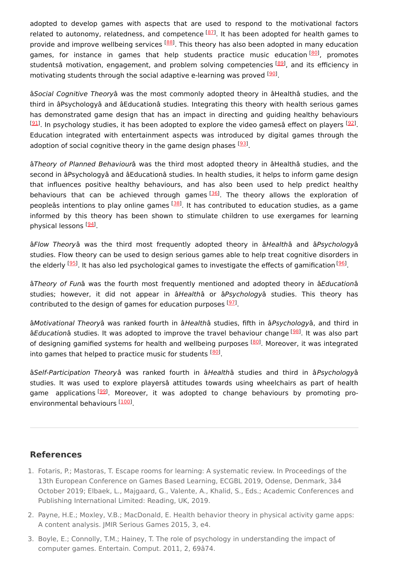adopted to develop games with aspects that are used to respond to the motivational factors related to autonomy, relatedness, and competence  $^{[87]}$  $^{[87]}$  $^{[87]}$ . It has been adopted for health games to provide and improve wellbeing services <sup>[[88](#page-10-13)]</sup>. This theory has also been adopted in many education games, for instance in games that help students practice music education<sup>[\[80](#page-10-5)]</sup>, promotes studentsâ motivation, engagement, and problem solving competencies [[89](#page-10-14)], and its efficiency in motivating students through the social adaptive e-learning was proved [[90](#page-10-15)].

âSocial Cognitive Theoryâ was the most commonly adopted theory in âHealthâ studies, and the third in âPsychologyâ and âEducationâ studies. Integrating this theory with health serious games has demonstrated game design that has an impact in directing and guiding healthy behaviours  $^{[91]}$  $^{[91]}$  $^{[91]}$ . In psychology studies, it has been adopted to explore the video gamesâ effect on players  $^{[92]}$  $^{[92]}$  $^{[92]}$ . Education integrated with entertainment aspects was introduced by digital games through the adoption of social cognitive theory in the game design phases  $\frac{[93]}{]}$  $\frac{[93]}{]}$  $\frac{[93]}{]}$ .

âTheory of Planned Behaviourâ was the third most adopted theory in âHealthâ studies, and the second in âPsychologyâ and âEducationâ studies. In health studies, it helps to inform game design that influences positive healthy behaviours, and has also been used to help predict healthy behaviours that can be achieved through games [[36](#page-7-13)]. The theory allows the exploration of peopleâs intentions to play online games [\[38](#page-7-15)]. It has contributed to education studies, as a game informed by this theory has been shown to stimulate children to use exergames for learning physical lessons <sup>[<u>[94](#page-11-0)</u>]</sup>.

âFlow Theoryâ was the third most frequently adopted theory in âHealthâ and âPsychologyâ studies. Flow theory can be used to design serious games able to help treat cognitive disorders in the elderly <sup>[<u>95</u>]</sup>. It has also led psychological games to investigate the effects of gamification [\[96](#page-11-2)].

âTheory of Funâ was the fourth most frequently mentioned and adopted theory in âEducationâ studies; however, it did not appear in âHealthâ or âPsychologyâ studies. This theory has contributed to the design of games for education purposes <sup>[\[97](#page-11-3)]</sup>.

âMotivational Theoryâ was ranked fourth in âHealthâ studies, fifth in âPsychologyâ, and third in âEducationâ studies. It was adopted to improve the travel behaviour change <sup>[\[98](#page-11-4)]</sup>. It was also part of designing gamified systems for health and wellbeing purposes [[80](#page-10-5)]. Moreover, it was integrated into games that helped to practice music for students [\[80](#page-10-5)].

âSelf-Participation Theoryâ was ranked fourth in âHealthâ studies and third in âPsychologyâ studies. It was used to explore playersâ attitudes towards using wheelchairs as part of health game applications<sup>[[99\]](#page-11-5)</sup>. Moreover, it was adopted to change behaviours by promoting pro-environmental behaviours [[100](#page-11-6)]

#### **References**

- <span id="page-5-0"></span>1. Fotaris, P.; Mastoras, T. Escape rooms for learning: A systematic review. In Proceedings of the 13th European Conference on Games Based Learning, ECGBL 2019, Odense, Denmark, 3â4 October 2019; Elbaek, L., Majgaard, G., Valente, A., Khalid, S., Eds.; Academic Conferences and Publishing International Limited: Reading, UK, 2019.
- <span id="page-5-1"></span>2. Payne, H.E.; Moxley, V.B.; MacDonald, E. Health behavior theory in physical activity game apps: A content analysis. JMIR Serious Games 2015, 3, e4.
- <span id="page-5-2"></span>3. Boyle, E.; Connolly, T.M.; Hainey, T. The role of psychology in understanding the impact of computer games. Entertain. Comput. 2011, 2, 69â74.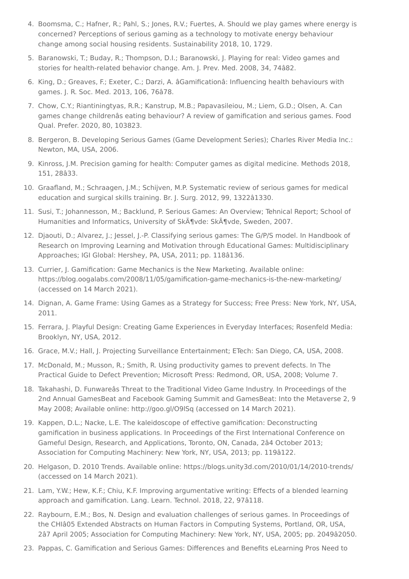- <span id="page-6-0"></span>4. Boomsma, C.; Hafner, R.; Pahl, S.; Jones, R.V.; Fuertes, A. Should we play games where energy is concerned? Perceptions of serious gaming as a technology to motivate energy behaviour change among social housing residents. Sustainability 2018, 10, 1729.
- <span id="page-6-1"></span>5. Baranowski, T.; Buday, R.; Thompson, D.I.; Baranowski, J. Playing for real: Video games and stories for health-related behavior change. Am. J. Prev. Med. 2008, 34, 74â82.
- <span id="page-6-2"></span>6. King, D.; Greaves, F.; Exeter, C.; Darzi, A. âGamificationâ: Influencing health behaviours with games. J. R. Soc. Med. 2013, 106, 76â78.
- <span id="page-6-3"></span>7. Chow, C.Y.; Riantiningtyas, R.R.; Kanstrup, M.B.; Papavasileiou, M.; Liem, G.D.; Olsen, A. Can games change childrenâs eating behaviour? A review of gamification and serious games. Food Qual. Prefer. 2020, 80, 103823.
- <span id="page-6-4"></span>8. Bergeron, B. Developing Serious Games (Game Development Series); Charles River Media Inc.: Newton, MA, USA, 2006.
- <span id="page-6-5"></span>9. Kinross, J.M. Precision gaming for health: Computer games as digital medicine. Methods 2018, 151, 28â33.
- <span id="page-6-6"></span>10. Graafland, M.; Schraagen, J.M.; Schijven, M.P. Systematic review of serious games for medical education and surgical skills training. Br. J. Surg. 2012, 99, 1322â1330.
- <span id="page-6-7"></span>11. Susi, T.; Johannesson, M.; Backlund, P. Serious Games: An Overview; Tehnical Report; School of Humanities and Informatics, University of SkA¶vde: Skövde, Sweden, 2007.
- <span id="page-6-8"></span>12. Djaouti, D.; Alvarez, J.; Jessel, J.-P. Classifying serious games: The G/P/S model. In Handbook of Research on Improving Learning and Motivation through Educational Games: Multidisciplinary Approaches; IGI Global: Hershey, PA, USA, 2011; pp. 118â136.
- <span id="page-6-9"></span>13. Currier, J. Gamification: Game Mechanics is the New Marketing. Available online: https://blog.oogalabs.com/2008/11/05/gamification-game-mechanics-is-the-new-marketing/ (accessed on 14 March 2021).
- <span id="page-6-10"></span>14. Dignan, A. Game Frame: Using Games as a Strategy for Success; Free Press: New York, NY, USA, 2011.
- <span id="page-6-11"></span>15. Ferrara, J. Playful Design: Creating Game Experiences in Everyday Interfaces; Rosenfeld Media: Brooklyn, NY, USA, 2012.
- <span id="page-6-12"></span>16. Grace, M.V.; Hall, J. Projecting Surveillance Entertainment; ETech: San Diego, CA, USA, 2008.
- <span id="page-6-13"></span>17. McDonald, M.; Musson, R.; Smith, R. Using productivity games to prevent defects. In The Practical Guide to Defect Prevention; Microsoft Press: Redmond, OR, USA, 2008; Volume 7.
- <span id="page-6-14"></span>18. Takahashi, D. Funwareâs Threat to the Traditional Video Game Industry. In Proceedings of the 2nd Annual GamesBeat and Facebook Gaming Summit and GamesBeat: Into the Metaverse 2, 9 May 2008; Available online: http://goo.gl/O9lSq (accessed on 14 March 2021).
- <span id="page-6-15"></span>19. Kappen, D.L.; Nacke, L.E. The kaleidoscope of effective gamification: Deconstructing gamification in business applications. In Proceedings of the First International Conference on Gameful Design, Research, and Applications, Toronto, ON, Canada, 2â4 October 2013; Association for Computing Machinery: New York, NY, USA, 2013; pp. 119â122.
- <span id="page-6-16"></span>20. Helgason, D. 2010 Trends. Available online: https://blogs.unity3d.com/2010/01/14/2010-trends/ (accessed on 14 March 2021).
- <span id="page-6-17"></span>21. Lam, Y.W.; Hew, K.F.; Chiu, K.F. Improving argumentative writing: Effects of a blended learning approach and gamification. Lang. Learn. Technol. 2018, 22, 97â118.
- <span id="page-6-18"></span>22. Raybourn, E.M.; Bos, N. Design and evaluation challenges of serious games. In Proceedings of the CHIâ05 Extended Abstracts on Human Factors in Computing Systems, Portland, OR, USA, 2â7 April 2005; Association for Computing Machinery: New York, NY, USA, 2005; pp. 2049â2050.
- 23. Pappas, C. Gamification and Serious Games: Differences and Benefits eLearning Pros Need to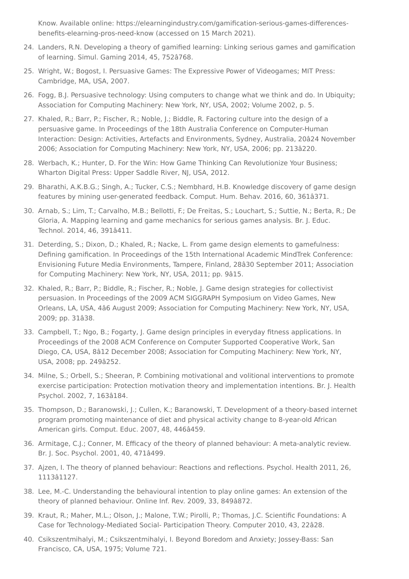<span id="page-7-0"></span>Know. Available online: https://elearningindustry.com/gamification-serious-games-differencesbenefits-elearning-pros-need-know (accessed on 15 March 2021).

- <span id="page-7-1"></span>24. Landers, R.N. Developing a theory of gamified learning: Linking serious games and gamification of learning. Simul. Gaming 2014, 45, 752â768.
- <span id="page-7-2"></span>25. Wright, W.; Bogost, I. Persuasive Games: The Expressive Power of Videogames; MIT Press: Cambridge, MA, USA, 2007.
- <span id="page-7-3"></span>26. Fogg, B.J. Persuasive technology: Using computers to change what we think and do. In Ubiquity; Association for Computing Machinery: New York, NY, USA, 2002; Volume 2002, p. 5.
- <span id="page-7-4"></span>27. Khaled, R.; Barr, P.; Fischer, R.; Noble, J.; Biddle, R. Factoring culture into the design of a persuasive game. In Proceedings of the 18th Australia Conference on Computer-Human Interaction: Design: Activities, Artefacts and Environments, Sydney, Australia, 20â24 November 2006; Association for Computing Machinery: New York, NY, USA, 2006; pp. 213â220.
- <span id="page-7-5"></span>28. Werbach, K.; Hunter, D. For the Win: How Game Thinking Can Revolutionize Your Business; Wharton Digital Press: Upper Saddle River, NJ, USA, 2012.
- <span id="page-7-6"></span>29. Bharathi, A.K.B.G.; Singh, A.; Tucker, C.S.; Nembhard, H.B. Knowledge discovery of game design features by mining user-generated feedback. Comput. Hum. Behav. 2016, 60, 361â371.
- <span id="page-7-7"></span>30. Arnab, S.; Lim, T.; Carvalho, M.B.; Bellotti, F.; De Freitas, S.; Louchart, S.; Suttie, N.; Berta, R.; De Gloria, A. Mapping learning and game mechanics for serious games analysis. Br. J. Educ. Technol. 2014, 46, 391â411.
- <span id="page-7-8"></span>31. Deterding, S.; Dixon, D.; Khaled, R.; Nacke, L. From game design elements to gamefulness: Defining gamification. In Proceedings of the 15th International Academic MindTrek Conference: Envisioning Future Media Environments, Tampere, Finland, 28â30 September 2011; Association for Computing Machinery: New York, NY, USA, 2011; pp. 9â15.
- <span id="page-7-9"></span>32. Khaled, R.; Barr, P.; Biddle, R.; Fischer, R.; Noble, J. Game design strategies for collectivist persuasion. In Proceedings of the 2009 ACM SIGGRAPH Symposium on Video Games, New Orleans, LA, USA, 4â6 August 2009; Association for Computing Machinery: New York, NY, USA, 2009; pp. 31â38.
- <span id="page-7-10"></span>33. Campbell, T.; Ngo, B.; Fogarty, J. Game design principles in everyday fitness applications. In Proceedings of the 2008 ACM Conference on Computer Supported Cooperative Work, San Diego, CA, USA, 8â12 December 2008; Association for Computing Machinery: New York, NY, USA, 2008; pp. 249â252.
- <span id="page-7-11"></span>34. Milne, S.; Orbell, S.; Sheeran, P. Combining motivational and volitional interventions to promote exercise participation: Protection motivation theory and implementation intentions. Br. J. Health Psychol. 2002, 7, 163â184.
- <span id="page-7-12"></span>35. Thompson, D.; Baranowski, J.; Cullen, K.; Baranowski, T. Development of a theory-based internet program promoting maintenance of diet and physical activity change to 8-year-old African American girls. Comput. Educ. 2007, 48, 446â459.
- <span id="page-7-13"></span>36. Armitage, C.J.; Conner, M. Efficacy of the theory of planned behaviour: A meta-analytic review. Br. J. Soc. Psychol. 2001, 40, 471â499.
- <span id="page-7-14"></span>37. Ajzen, I. The theory of planned behaviour: Reactions and reflections. Psychol. Health 2011, 26, 1113â1127.
- <span id="page-7-15"></span>38. Lee, M.-C. Understanding the behavioural intention to play online games: An extension of the theory of planned behaviour. Online Inf. Rev. 2009, 33, 849â872.
- <span id="page-7-16"></span>39. Kraut, R.; Maher, M.L.; Olson, J.; Malone, T.W.; Pirolli, P.; Thomas, J.C. Scientific Foundations: A Case for Technology-Mediated Social- Participation Theory. Computer 2010, 43, 22â28.
- <span id="page-7-17"></span>40. Csikszentmihalyi, M.; Csikszentmihalyi, I. Beyond Boredom and Anxiety; Jossey-Bass: San Francisco, CA, USA, 1975; Volume 721.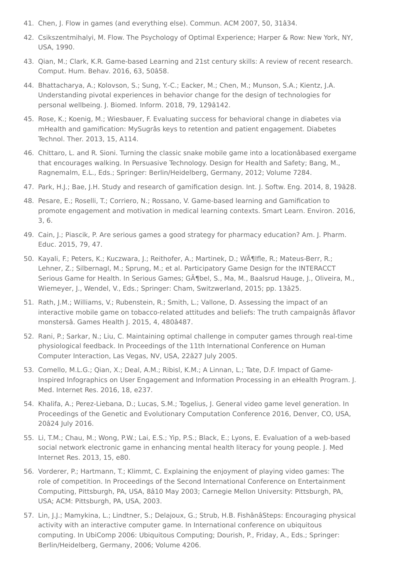- <span id="page-8-0"></span>41. Chen, J. Flow in games (and everything else). Commun. ACM 2007, 50, 31â34.
- <span id="page-8-1"></span>42. Csikszentmihalyi, M. Flow. The Psychology of Optimal Experience; Harper & Row: New York, NY, USA, 1990.
- <span id="page-8-2"></span>43. Qian, M.; Clark, K.R. Game-based Learning and 21st century skills: A review of recent research. Comput. Hum. Behav. 2016, 63, 50â58.
- <span id="page-8-3"></span>44. Bhattacharya, A.; Kolovson, S.; Sung, Y.-C.; Eacker, M.; Chen, M.; Munson, S.A.; Kientz, J.A. Understanding pivotal experiences in behavior change for the design of technologies for personal wellbeing. J. Biomed. Inform. 2018, 79, 129â142.
- <span id="page-8-4"></span>45. Rose, K.; Koenig, M.; Wiesbauer, F. Evaluating success for behavioral change in diabetes via mHealth and gamification: MySugrâs keys to retention and patient engagement. Diabetes Technol. Ther. 2013, 15, A114.
- <span id="page-8-5"></span>46. Chittaro, L. and R. Sioni. Turning the classic snake mobile game into a locationâbased exergame that encourages walking. In Persuasive Technology. Design for Health and Safety; Bang, M., Ragnemalm, E.L., Eds.; Springer: Berlin/Heidelberg, Germany, 2012; Volume 7284.
- <span id="page-8-6"></span>47. Park, H.J.; Bae, J.H. Study and research of gamification design. Int. J. Softw. Eng. 2014, 8, 19â28.
- <span id="page-8-7"></span>48. Pesare, E.; Roselli, T.; Corriero, N.; Rossano, V. Game-based learning and Gamification to promote engagement and motivation in medical learning contexts. Smart Learn. Environ. 2016, 3, 6.
- <span id="page-8-8"></span>49. Cain, J.; Piascik, P. Are serious games a good strategy for pharmacy education? Am. J. Pharm. Educ. 2015, 79, 47.
- <span id="page-8-9"></span>50. Kayali, F.; Peters, K.; Kuczwara, J.; Reithofer, A.; Martinek, D.; Wölfle, R.; Mateus-Berr, R.; Lehner, Z.; Silbernagl, M.; Sprung, M.; et al. Participatory Game Design for the INTERACCT Serious Game for Health. In Serious Games; G $\tilde{A}$ ¶bel, S., Ma, M., Baalsrud Hauge, J., Oliveira, M., Wiemeyer, J., Wendel, V., Eds.; Springer: Cham, Switzwerland, 2015; pp. 13â25.
- <span id="page-8-10"></span>51. Rath, J.M.; Williams, V.; Rubenstein, R.; Smith, L.; Vallone, D. Assessing the impact of an interactive mobile game on tobacco-related attitudes and beliefs: The truth campaignâs âflavor monstersâ. Games Health J. 2015, 4, 480â487.
- <span id="page-8-11"></span>52. Rani, P.; Sarkar, N.; Liu, C. Maintaining optimal challenge in computer games through real-time physiological feedback. In Proceedings of the 11th International Conference on Human Computer Interaction, Las Vegas, NV, USA, 22â27 July 2005.
- <span id="page-8-12"></span>53. Comello, M.L.G.; Qian, X.; Deal, A.M.; Ribisl, K.M.; A Linnan, L.; Tate, D.F. Impact of Game-Inspired Infographics on User Engagement and Information Processing in an eHealth Program. J. Med. Internet Res. 2016, 18, e237.
- <span id="page-8-13"></span>54. Khalifa, A.; Perez-Liebana, D.; Lucas, S.M.; Togelius, J. General video game level generation. In Proceedings of the Genetic and Evolutionary Computation Conference 2016, Denver, CO, USA, 20â24 July 2016.
- <span id="page-8-14"></span>55. Li, T.M.; Chau, M.; Wong, P.W.; Lai, E.S.; Yip, P.S.; Black, E.; Lyons, E. Evaluation of a web-based social network electronic game in enhancing mental health literacy for young people. J. Med Internet Res. 2013, 15, e80.
- <span id="page-8-15"></span>56. Vorderer, P.; Hartmann, T.; Klimmt, C. Explaining the enjoyment of playing video games: The role of competition. In Proceedings of the Second International Conference on Entertainment Computing, Pittsburgh, PA, USA, 8â10 May 2003; Carnegie Mellon University: Pittsburgh, PA, USA; ACM: Pittsburgh, PA, USA, 2003.
- <span id="page-8-16"></span>57. Lin, J.J.; Mamykina, L.; Lindtner, S.; Delajoux, G.; Strub, H.B. FishânâSteps: Encouraging physical activity with an interactive computer game. In International conference on ubiquitous computing. In UbiComp 2006: Ubiquitous Computing; Dourish, P., Friday, A., Eds.; Springer: Berlin/Heidelberg, Germany, 2006; Volume 4206.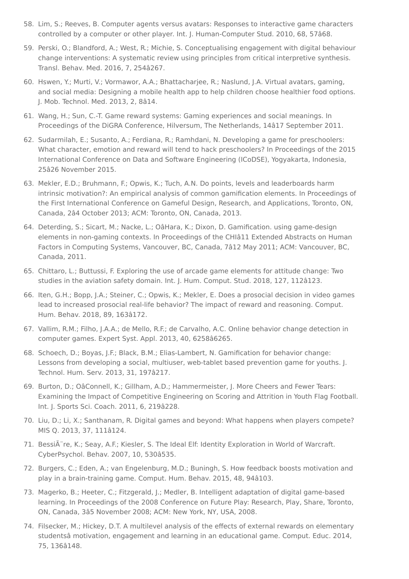- <span id="page-9-0"></span>58. Lim, S.; Reeves, B. Computer agents versus avatars: Responses to interactive game characters controlled by a computer or other player. Int. J. Human-Computer Stud. 2010, 68, 57â68.
- <span id="page-9-1"></span>59. Perski, O.; Blandford, A.; West, R.; Michie, S. Conceptualising engagement with digital behaviour change interventions: A systematic review using principles from critical interpretive synthesis. Transl. Behav. Med. 2016, 7, 254â267.
- <span id="page-9-2"></span>60. Hswen, Y.; Murti, V.; Vormawor, A.A.; Bhattacharjee, R.; Naslund, J.A. Virtual avatars, gaming, and social media: Designing a mobile health app to help children choose healthier food options. J. Mob. Technol. Med. 2013, 2, 8â14.
- <span id="page-9-3"></span>61. Wang, H.; Sun, C.-T. Game reward systems: Gaming experiences and social meanings. In Proceedings of the DiGRA Conference, Hilversum, The Netherlands, 14â17 September 2011.
- <span id="page-9-4"></span>62. Sudarmilah, E.; Susanto, A.; Ferdiana, R.; Ramhdani, N. Developing a game for preschoolers: What character, emotion and reward will tend to hack preschoolers? In Proceedings of the 2015 International Conference on Data and Software Engineering (ICoDSE), Yogyakarta, Indonesia, 25â26 November 2015.
- <span id="page-9-5"></span>63. Mekler, E.D.; Bruhmann, F.; Opwis, K.; Tuch, A.N. Do points, levels and leaderboards harm intrinsic motivation?: An empirical analysis of common gamification elements. In Proceedings of the First International Conference on Gameful Design, Research, and Applications, Toronto, ON, Canada, 2â4 October 2013; ACM: Toronto, ON, Canada, 2013.
- <span id="page-9-6"></span>64. Deterding, S.; Sicart, M.; Nacke, L.; OâHara, K.; Dixon, D. Gamification. using game-design elements in non-gaming contexts. In Proceedings of the CHIâ11 Extended Abstracts on Human Factors in Computing Systems, Vancouver, BC, Canada, 7â12 May 2011; ACM: Vancouver, BC, Canada, 2011.
- <span id="page-9-7"></span>65. Chittaro, L.; Buttussi, F. Exploring the use of arcade game elements for attitude change: Two studies in the aviation safety domain. Int. J. Hum. Comput. Stud. 2018, 127, 112â123.
- <span id="page-9-8"></span>66. Iten, G.H.; Bopp, J.A.; Steiner, C.; Opwis, K.; Mekler, E. Does a prosocial decision in video games lead to increased prosocial real-life behavior? The impact of reward and reasoning. Comput. Hum. Behav. 2018, 89, 163â172.
- <span id="page-9-9"></span>67. Vallim, R.M.; Filho, J.A.A.; de Mello, R.F.; de Carvalho, A.C. Online behavior change detection in computer games. Expert Syst. Appl. 2013, 40, 6258â6265.
- <span id="page-9-10"></span>68. Schoech, D.; Boyas, J.F.; Black, B.M.; Elias-Lambert, N. Gamification for behavior change: Lessons from developing a social, multiuser, web-tablet based prevention game for youths. J. Technol. Hum. Serv. 2013, 31, 197â217.
- <span id="page-9-11"></span>69. Burton, D.; OâConnell, K.; Gillham, A.D.; Hammermeister, J. More Cheers and Fewer Tears: Examining the Impact of Competitive Engineering on Scoring and Attrition in Youth Flag Football. Int. J. Sports Sci. Coach. 2011, 6, 219â228.
- <span id="page-9-12"></span>70. Liu, D.; Li, X.; Santhanam, R. Digital games and beyond: What happens when players compete? MIS Q. 2013, 37, 111â124.
- <span id="page-9-13"></span>71. BessiA re, K.; Seay, A.F.; Kiesler, S. The Ideal Elf: Identity Exploration in World of Warcraft. CyberPsychol. Behav. 2007, 10, 530â535.
- <span id="page-9-14"></span>72. Burgers, C.; Eden, A.; van Engelenburg, M.D.; Buningh, S. How feedback boosts motivation and play in a brain-training game. Comput. Hum. Behav. 2015, 48, 94â103.
- <span id="page-9-15"></span>73. Magerko, B.; Heeter, C.; Fitzgerald, J.; Medler, B. Intelligent adaptation of digital game-based learning. In Proceedings of the 2008 Conference on Future Play: Research, Play, Share, Toronto, ON, Canada, 3â5 November 2008; ACM: New York, NY, USA, 2008.
- <span id="page-9-16"></span>74. Filsecker, M.; Hickey, D.T. A multilevel analysis of the effects of external rewards on elementary studentsâ motivation, engagement and learning in an educational game. Comput. Educ. 2014, 75, 136â148.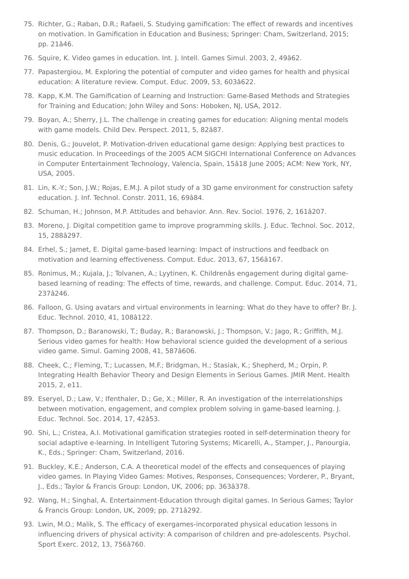- <span id="page-10-0"></span>75. Richter, G.; Raban, D.R.; Rafaeli, S. Studying gamification: The effect of rewards and incentives on motivation. In Gamification in Education and Business; Springer: Cham, Switzerland, 2015; pp. 21â46.
- <span id="page-10-1"></span>76. Squire, K. Video games in education. Int. J. Intell. Games Simul. 2003, 2, 49â62.
- <span id="page-10-2"></span>77. Papastergiou, M. Exploring the potential of computer and video games for health and physical education: A literature review. Comput. Educ. 2009, 53, 603â622.
- <span id="page-10-3"></span>78. Kapp, K.M. The Gamification of Learning and Instruction: Game-Based Methods and Strategies for Training and Education; John Wiley and Sons: Hoboken, NJ, USA, 2012.
- <span id="page-10-4"></span>79. Boyan, A.; Sherry, J.L. The challenge in creating games for education: Aligning mental models with game models. Child Dev. Perspect. 2011, 5, 82â87.
- <span id="page-10-5"></span>80. Denis, G.; Jouvelot, P. Motivation-driven educational game design: Applying best practices to music education. In Proceedings of the 2005 ACM SIGCHI International Conference on Advances in Computer Entertainment Technology, Valencia, Spain, 15â18 June 2005; ACM: New York, NY, USA, 2005.
- <span id="page-10-6"></span>81. Lin, K.-Y.; Son, J.W.; Rojas, E.M.J. A pilot study of a 3D game environment for construction safety education. J. Inf. Technol. Constr. 2011, 16, 69â84.
- <span id="page-10-7"></span>82. Schuman, H.; Johnson, M.P. Attitudes and behavior. Ann. Rev. Sociol. 1976, 2, 161â207.
- <span id="page-10-8"></span>83. Moreno, J. Digital competition game to improve programming skills. J. Educ. Technol. Soc. 2012, 15, 288â297.
- <span id="page-10-9"></span>84. Erhel, S.; Jamet, E. Digital game-based learning: Impact of instructions and feedback on motivation and learning effectiveness. Comput. Educ. 2013, 67, 156â167.
- <span id="page-10-10"></span>85. Ronimus, M.; Kujala, J.; Tolvanen, A.; Lyytinen, K. Childrenâs engagement during digital gamebased learning of reading: The effects of time, rewards, and challenge. Comput. Educ. 2014, 71, 237â246.
- <span id="page-10-11"></span>86. Falloon, G. Using avatars and virtual environments in learning: What do they have to offer? Br. J. Educ. Technol. 2010, 41, 108â122.
- <span id="page-10-12"></span>87. Thompson, D.; Baranowski, T.; Buday, R.; Baranowski, J.; Thompson, V.; Jago, R.; Griffith, M.J. Serious video games for health: How behavioral science guided the development of a serious video game. Simul. Gaming 2008, 41, 587â606.
- <span id="page-10-13"></span>88. Cheek, C.; Fleming, T.; Lucassen, M.F.; Bridgman, H.; Stasiak, K.; Shepherd, M.; Orpin, P. Integrating Health Behavior Theory and Design Elements in Serious Games. JMIR Ment. Health 2015, 2, e11.
- <span id="page-10-14"></span>89. Eseryel, D.; Law, V.; Ifenthaler, D.; Ge, X.; Miller, R. An investigation of the interrelationships between motivation, engagement, and complex problem solving in game-based learning. J. Educ. Technol. Soc. 2014, 17, 42â53.
- <span id="page-10-15"></span>90. Shi, L.; Cristea, A.I. Motivational gamification strategies rooted in self-determination theory for social adaptive e-learning. In Intelligent Tutoring Systems; Micarelli, A., Stamper, J., Panourgia, K., Eds.; Springer: Cham, Switzerland, 2016.
- <span id="page-10-16"></span>91. Buckley, K.E.; Anderson, C.A. A theoretical model of the effects and consequences of playing video games. In Playing Video Games: Motives, Responses, Consequences; Vorderer, P., Bryant, J., Eds.; Taylor & Francis Group: London, UK, 2006; pp. 363â378.
- <span id="page-10-17"></span>92. Wang, H.; Singhal, A. Entertainment-Education through digital games. In Serious Games; Taylor & Francis Group: London, UK, 2009; pp. 271â292.
- <span id="page-10-18"></span>93. Lwin, M.O.; Malik, S. The efficacy of exergames-incorporated physical education lessons in influencing drivers of physical activity: A comparison of children and pre-adolescents. Psychol. Sport Exerc. 2012, 13, 756â760.